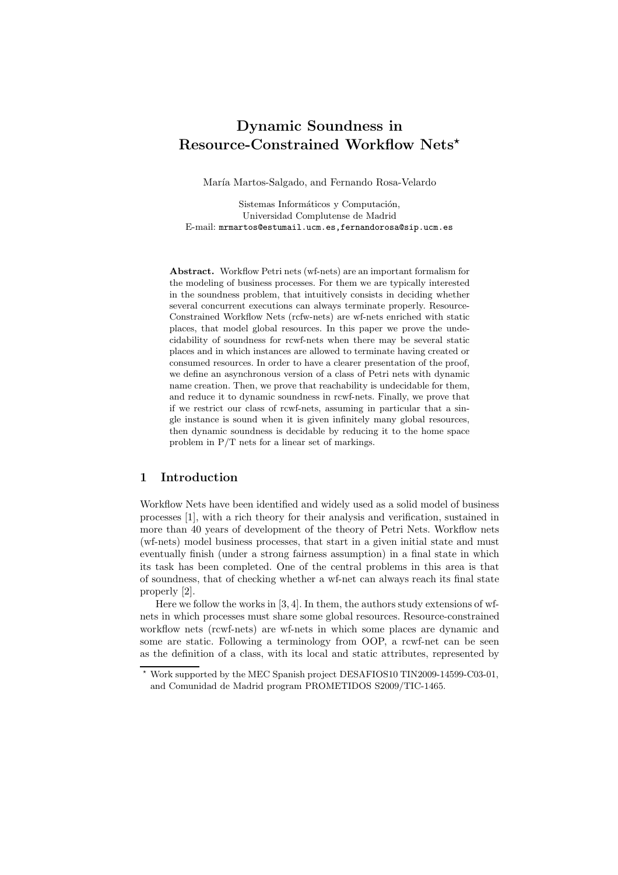# Dynamic Soundness in Resource-Constrained Workflow Nets<sup>\*</sup>

María Martos-Salgado, and Fernando Rosa-Velardo

Sistemas Informáticos y Computación, Universidad Complutense de Madrid E-mail: mrmartos@estumail.ucm.es,fernandorosa@sip.ucm.es

Abstract. Workflow Petri nets (wf-nets) are an important formalism for the modeling of business processes. For them we are typically interested in the soundness problem, that intuitively consists in deciding whether several concurrent executions can always terminate properly. Resource-Constrained Workflow Nets (rcfw-nets) are wf-nets enriched with static places, that model global resources. In this paper we prove the undecidability of soundness for rcwf-nets when there may be several static places and in which instances are allowed to terminate having created or consumed resources. In order to have a clearer presentation of the proof, we define an asynchronous version of a class of Petri nets with dynamic name creation. Then, we prove that reachability is undecidable for them, and reduce it to dynamic soundness in rcwf-nets. Finally, we prove that if we restrict our class of rcwf-nets, assuming in particular that a single instance is sound when it is given infinitely many global resources, then dynamic soundness is decidable by reducing it to the home space problem in P/T nets for a linear set of markings.

# 1 Introduction

Workflow Nets have been identified and widely used as a solid model of business processes [1], with a rich theory for their analysis and verification, sustained in more than 40 years of development of the theory of Petri Nets. Workflow nets (wf-nets) model business processes, that start in a given initial state and must eventually finish (under a strong fairness assumption) in a final state in which its task has been completed. One of the central problems in this area is that of soundness, that of checking whether a wf-net can always reach its final state properly [2].

Here we follow the works in  $[3, 4]$ . In them, the authors study extensions of wfnets in which processes must share some global resources. Resource-constrained workflow nets (rcwf-nets) are wf-nets in which some places are dynamic and some are static. Following a terminology from OOP, a rcwf-net can be seen as the definition of a class, with its local and static attributes, represented by

Work supported by the MEC Spanish project DESAFIOS10 TIN2009-14599-C03-01, and Comunidad de Madrid program PROMETIDOS S2009/TIC-1465.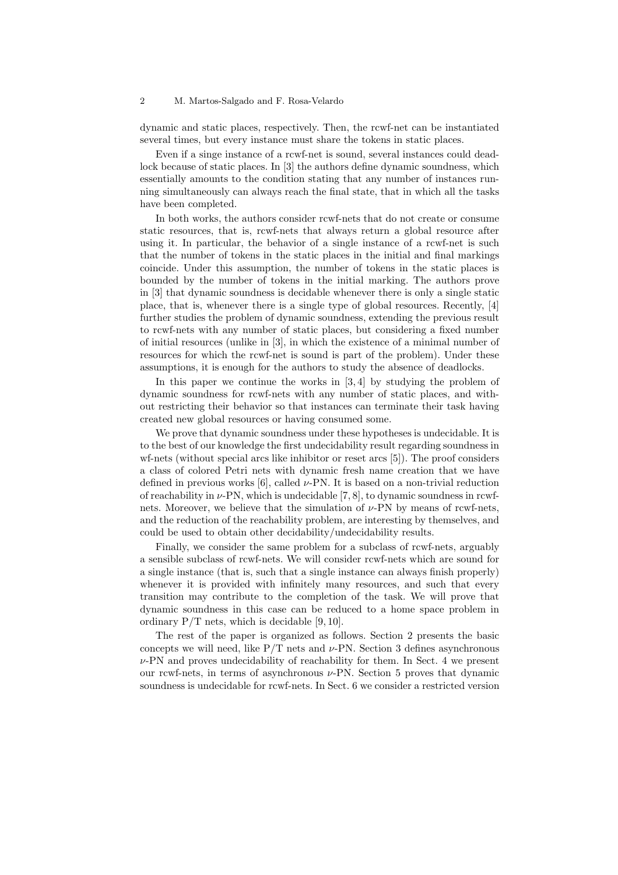dynamic and static places, respectively. Then, the rcwf-net can be instantiated several times, but every instance must share the tokens in static places.

Even if a singe instance of a rcwf-net is sound, several instances could deadlock because of static places. In [3] the authors define dynamic soundness, which essentially amounts to the condition stating that any number of instances running simultaneously can always reach the final state, that in which all the tasks have been completed.

In both works, the authors consider rcwf-nets that do not create or consume static resources, that is, rcwf-nets that always return a global resource after using it. In particular, the behavior of a single instance of a rcwf-net is such that the number of tokens in the static places in the initial and final markings coincide. Under this assumption, the number of tokens in the static places is bounded by the number of tokens in the initial marking. The authors prove in [3] that dynamic soundness is decidable whenever there is only a single static place, that is, whenever there is a single type of global resources. Recently, [4] further studies the problem of dynamic soundness, extending the previous result to rcwf-nets with any number of static places, but considering a fixed number of initial resources (unlike in [3], in which the existence of a minimal number of resources for which the rcwf-net is sound is part of the problem). Under these assumptions, it is enough for the authors to study the absence of deadlocks.

In this paper we continue the works in [3, 4] by studying the problem of dynamic soundness for rcwf-nets with any number of static places, and without restricting their behavior so that instances can terminate their task having created new global resources or having consumed some.

We prove that dynamic soundness under these hypotheses is undecidable. It is to the best of our knowledge the first undecidability result regarding soundness in wf-nets (without special arcs like inhibitor or reset arcs [5]). The proof considers a class of colored Petri nets with dynamic fresh name creation that we have defined in previous works  $[6]$ , called  $\nu$ -PN. It is based on a non-trivial reduction of reachability in  $\nu$ -PN, which is undecidable [7, 8], to dynamic soundness in rcwfnets. Moreover, we believe that the simulation of  $\nu$ -PN by means of rcwf-nets, and the reduction of the reachability problem, are interesting by themselves, and could be used to obtain other decidability/undecidability results.

Finally, we consider the same problem for a subclass of rcwf-nets, arguably a sensible subclass of rcwf-nets. We will consider rcwf-nets which are sound for a single instance (that is, such that a single instance can always finish properly) whenever it is provided with infinitely many resources, and such that every transition may contribute to the completion of the task. We will prove that dynamic soundness in this case can be reduced to a home space problem in ordinary  $P/T$  nets, which is decidable [9, 10].

The rest of the paper is organized as follows. Section 2 presents the basic concepts we will need, like  $P/T$  nets and  $\nu$ -PN. Section 3 defines asynchronous  $\nu$ -PN and proves undecidability of reachability for them. In Sect. 4 we present our rcwf-nets, in terms of asynchronous  $\nu$ -PN. Section 5 proves that dynamic soundness is undecidable for rcwf-nets. In Sect. 6 we consider a restricted version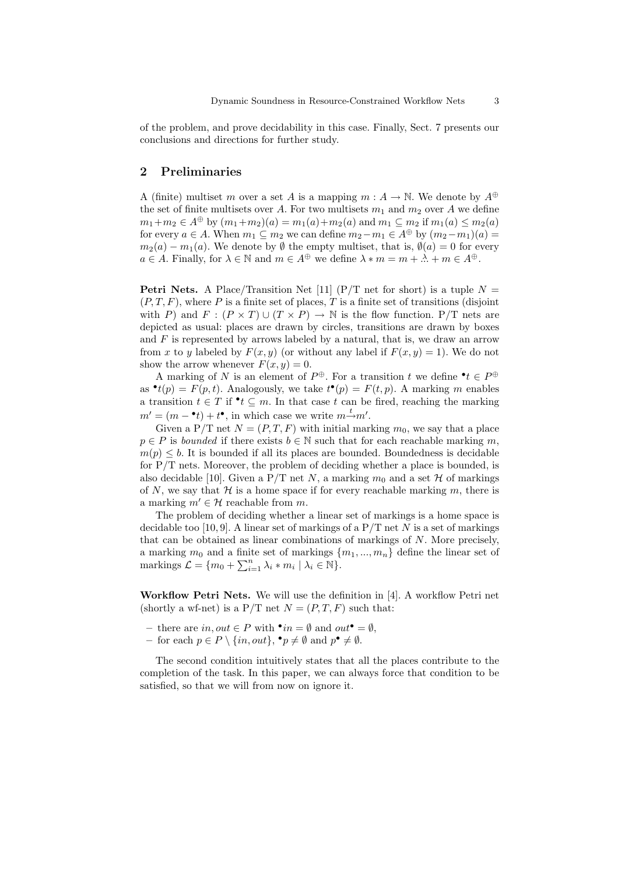of the problem, and prove decidability in this case. Finally, Sect. 7 presents our conclusions and directions for further study.

## 2 Preliminaries

A (finite) multiset m over a set A is a mapping  $m : A \to \mathbb{N}$ . We denote by  $A^{\oplus}$ the set of finite multisets over A. For two multisets  $m_1$  and  $m_2$  over A we define  $m_1+m_2 \in A^{\oplus}$  by  $(m_1+m_2)(a) = m_1(a)+m_2(a)$  and  $m_1 \subseteq m_2$  if  $m_1(a) \leq m_2(a)$ for every  $a \in A$ . When  $m_1 \subseteq m_2$  we can define  $m_2 - m_1 \in A^{\oplus}$  by  $(m_2 - m_1)(a) =$  $m_2(a) - m_1(a)$ . We denote by  $\emptyset$  the empty multiset, that is,  $\emptyset(a) = 0$  for every  $a \in A$ . Finally, for  $\lambda \in \mathbb{N}$  and  $m \in A^{\oplus}$  we define  $\lambda * m = m + \lambda + m \in A^{\oplus}$ .

**Petri Nets.** A Place/Transition Net [11] (P/T net for short) is a tuple  $N =$  $(P, T, F)$ , where P is a finite set of places, T is a finite set of transitions (disjoint with P) and F :  $(P \times T) \cup (T \times P) \rightarrow \mathbb{N}$  is the flow function. P/T nets are depicted as usual: places are drawn by circles, transitions are drawn by boxes and  $F$  is represented by arrows labeled by a natural, that is, we draw an arrow from x to y labeled by  $F(x, y)$  (or without any label if  $F(x, y) = 1$ ). We do not show the arrow whenever  $F(x, y) = 0$ .

A marking of N is an element of  $P^{\oplus}$ . For a transition t we define  $\bullet t \in P^{\oplus}$ as  $\bullet$   $t(p) = F(p, t)$ . Analogously, we take  $t^{\bullet}(p) = F(t, p)$ . A marking m enables a transition  $t \in T$  if  $\bullet t \subseteq m$ . In that case t can be fired, reaching the marking  $m' = (m - \cdot t) + t^{\bullet}$ , in which case we write  $m \stackrel{t}{\rightarrow} m'$ .

Given a P/T net  $N = (P, T, F)$  with initial marking  $m_0$ , we say that a place  $p \in P$  is *bounded* if there exists  $b \in \mathbb{N}$  such that for each reachable marking m,  $m(p) \leq b$ . It is bounded if all its places are bounded. Boundedness is decidable for P/T nets. Moreover, the problem of deciding whether a place is bounded, is also decidable [10]. Given a P/T net N, a marking  $m_0$  and a set H of markings of N, we say that  $H$  is a home space if for every reachable marking m, there is a marking  $m' \in \mathcal{H}$  reachable from m.

The problem of deciding whether a linear set of markings is a home space is decidable too [10, 9]. A linear set of markings of a  $P/T$  net N is a set of markings that can be obtained as linear combinations of markings of N. More precisely, a marking  $m_0$  and a finite set of markings  $\{m_1, ..., m_n\}$  define the linear set of markings  $\mathcal{L} = \{m_0 + \sum_{i=1}^n \lambda_i * m_i \mid \lambda_i \in \mathbb{N}\}.$ 

Workflow Petri Nets. We will use the definition in [4]. A workflow Petri net (shortly a wf-net) is a  $P/T$  net  $N = (P, T, F)$  such that:

- there are *in*, *out* ∈ P with  $\bullet$ *in* = Ø and *out* $\bullet$  = Ø,
- − for each  $p \in P \setminus \{in, out\}$ ,  $\bullet p \neq \emptyset$  and  $p^{\bullet} \neq \emptyset$ .

The second condition intuitively states that all the places contribute to the completion of the task. In this paper, we can always force that condition to be satisfied, so that we will from now on ignore it.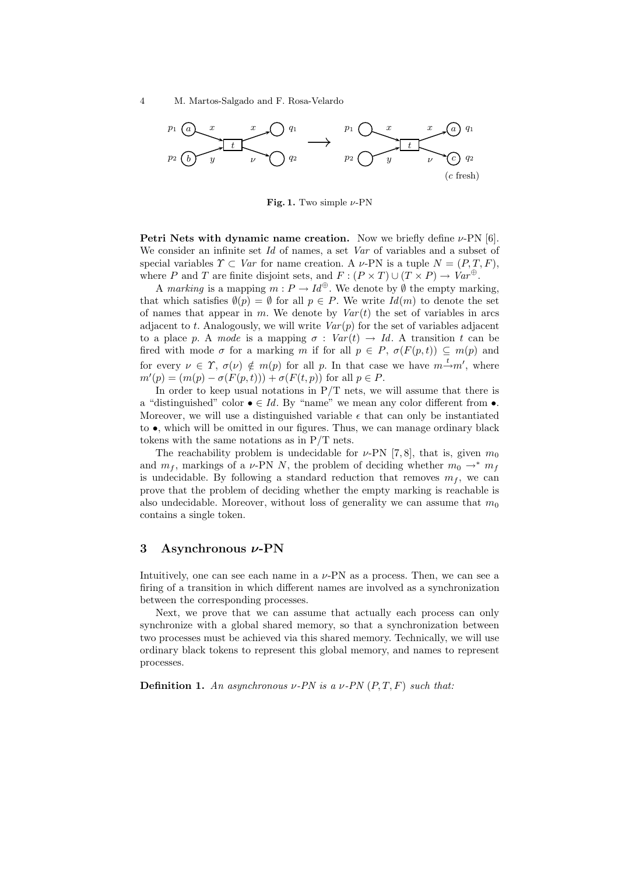

Fig. 1. Two simple  $\nu$ -PN

Petri Nets with dynamic name creation. Now we briefly define  $\nu$ -PN [6]. We consider an infinite set *Id* of names, a set *Var* of variables and a subset of special variables  $\Upsilon \subset Var$  for name creation. A v-PN is a tuple  $N = (P, T, F)$ , where P and T are finite disjoint sets, and  $F : (P \times T) \cup (T \times P) \rightarrow Var^{\oplus}$ .

A *marking* is a mapping  $m : P \to Id^{\oplus}$ . We denote by  $\emptyset$  the empty marking, that which satisfies  $\emptyset(p) = \emptyset$  for all  $p \in P$ . We write  $Id(m)$  to denote the set of names that appear in m. We denote by  $Var(t)$  the set of variables in arcs adjacent to t. Analogously, we will write  $Var(p)$  for the set of variables adjacent to a place p. A mode is a mapping  $\sigma : Var(t) \rightarrow Id$ . A transition t can be fired with mode  $\sigma$  for a marking m if for all  $p \in P$ ,  $\sigma(F(p, t)) \subseteq m(p)$  and for every  $\nu \in \Upsilon$ ,  $\sigma(\nu) \notin m(p)$  for all p. In that case we have  $m \stackrel{t}{\rightarrow} m'$ , where  $m'(p) = (m(p) - \sigma(F(p, t))) + \sigma(F(t, p))$  for all  $p \in P$ .

In order to keep usual notations in  $P/T$  nets, we will assume that there is a "distinguished" color  $\bullet \in Id$ . By "name" we mean any color different from  $\bullet$ . Moreover, we will use a distinguished variable  $\epsilon$  that can only be instantiated to •, which will be omitted in our figures. Thus, we can manage ordinary black tokens with the same notations as in P/T nets.

The reachability problem is undecidable for  $\nu$ -PN [7,8], that is, given  $m_0$ and  $m_f$ , markings of a v-PN N, the problem of deciding whether  $m_0 \rightarrow^* m_f$ is undecidable. By following a standard reduction that removes  $m_f$ , we can prove that the problem of deciding whether the empty marking is reachable is also undecidable. Moreover, without loss of generality we can assume that  $m_0$ contains a single token.

### 3 Asynchronous  $\nu$ -PN

Intuitively, one can see each name in a  $\nu$ -PN as a process. Then, we can see a firing of a transition in which different names are involved as a synchronization between the corresponding processes.

Next, we prove that we can assume that actually each process can only synchronize with a global shared memory, so that a synchronization between two processes must be achieved via this shared memory. Technically, we will use ordinary black tokens to represent this global memory, and names to represent processes.

**Definition 1.** An asynchronous  $\nu$ -PN is a  $\nu$ -PN  $(P, T, F)$  such that: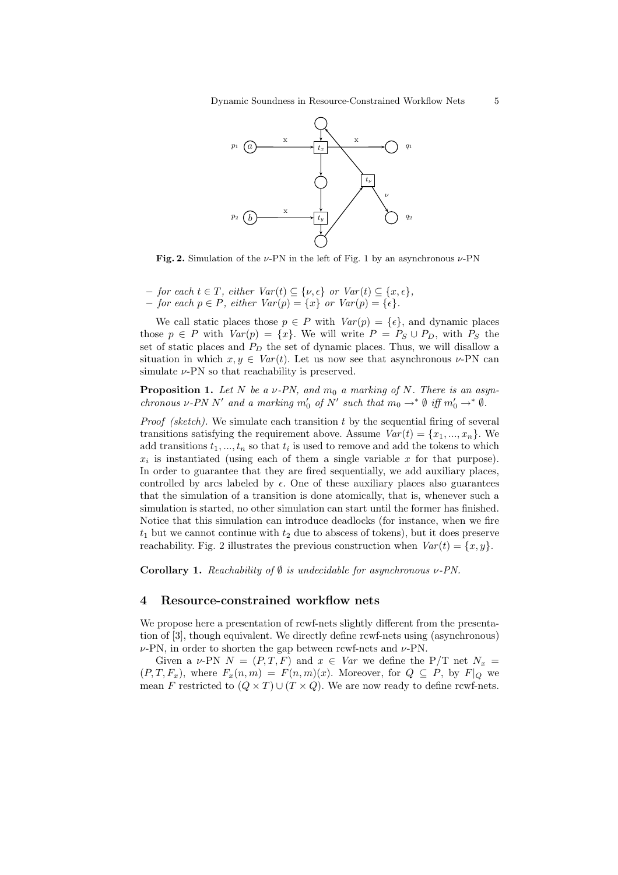

Fig. 2. Simulation of the  $\nu$ -PN in the left of Fig. 1 by an asynchronous  $\nu$ -PN

- *− for each*  $t \in T$ *, either*  $Var(t) \subset \{v, \epsilon\}$  *<i>or*  $Var(t) \subset \{x, \epsilon\}$ *,*
- $-$  *for each*  $p \in P$ *, either*  $Var(p) = \{x\}$  *or*  $Var(p) = \{\epsilon\}.$

We call static places those  $p \in P$  with  $Var(p) = {\epsilon}$ , and dynamic places those  $p \in P$  with  $Var(p) = \{x\}$ . We will write  $P = P_S \cup P_D$ , with  $P_S$  the set of static places and  $P_D$  the set of dynamic places. Thus, we will disallow a situation in which  $x, y \in Var(t)$ . Let us now see that asynchronous  $\nu$ -PN can simulate  $\nu$ -PN so that reachability is preserved.

**Proposition 1.** Let  $N$  be a  $\nu$ -PN, and  $m_0$  a marking of  $N$ . There is an asyn*chronous*  $\nu$ -PN N' and a marking  $m'_0$  of N' such that  $m_0 \rightarrow^* \emptyset$  *iff*  $m'_0 \rightarrow^* \emptyset$ .

*Proof (sketch)*. We simulate each transition t by the sequential firing of several transitions satisfying the requirement above. Assume  $Var(t) = \{x_1, ..., x_n\}$ . We add transitions  $t_1, ..., t_n$  so that  $t_i$  is used to remove and add the tokens to which  $x_i$  is instantiated (using each of them a single variable x for that purpose). In order to guarantee that they are fired sequentially, we add auxiliary places, controlled by arcs labeled by  $\epsilon$ . One of these auxiliary places also guarantees that the simulation of a transition is done atomically, that is, whenever such a simulation is started, no other simulation can start until the former has finished. Notice that this simulation can introduce deadlocks (for instance, when we fire  $t_1$  but we cannot continue with  $t_2$  due to abscess of tokens), but it does preserve reachability. Fig. 2 illustrates the previous construction when  $Var(t) = \{x, y\}.$ 

Corollary 1. *Reachability of* ∅ *is undecidable for asynchronous* ν*-PN.*

#### 4 Resource-constrained workflow nets

We propose here a presentation of rcwf-nets slightly different from the presentation of [3], though equivalent. We directly define rcwf-nets using (asynchronous)  $\nu$ -PN, in order to shorten the gap between rcwf-nets and  $\nu$ -PN.

Given a  $\nu$ -PN  $N = (P, T, F)$  and  $x \in Var$  we define the P/T net  $N_x =$  $(P, T, F_x)$ , where  $F_x(n,m) = F(n,m)(x)$ . Moreover, for  $Q \subseteq P$ , by  $F|_Q$  we mean F restricted to  $(Q \times T) \cup (T \times Q)$ . We are now ready to define rcwf-nets.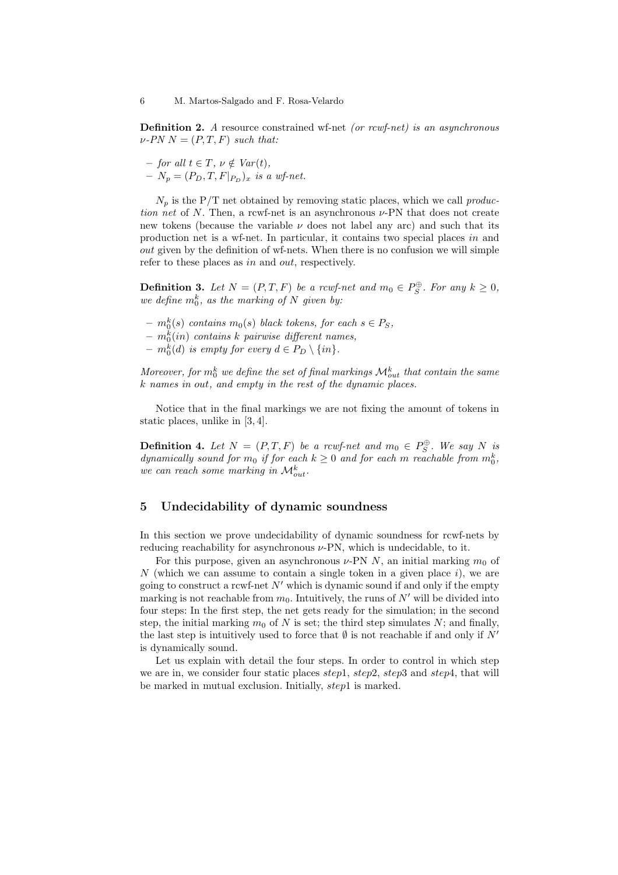Definition 2. *A* resource constrained wf-net *(or rcwf-net) is an asynchronous*  $\nu$ *-PN*  $N = (P, T, F)$  *such that:* 

- for all 
$$
t \in T
$$
,  $\nu \notin Var(t)$ ,  
-  $N_p = (P_D, T, F|_{P_D})_x$  is a wf-net.

 $N_p$  is the P/T net obtained by removing static places, which we call *production net* of N. Then, a rcwf-net is an asynchronous  $\nu$ -PN that does not create new tokens (because the variable  $\nu$  does not label any arc) and such that its production net is a wf-net. In particular, it contains two special places in and out given by the definition of wf-nets. When there is no confusion we will simple refer to these places as in and out, respectively.

**Definition 3.** Let  $N = (P, T, F)$  be a rcwf-net and  $m_0 \in P_S^{\oplus}$ . For any  $k \geq 0$ , we define  $m_0^k$ , as the marking of N given by:

- $-m_0^k(s)$  *contains*  $m_0(s)$  *black tokens, for each*  $s \in P_S$ *,*
- m<sup>k</sup> 0 (in) *contains* k *pairwise different names,*
- $m_0^k(d)$  *is empty for every*  $d \in P_D \setminus \{in\}.$

 $Moreover, for m_0^k$  we define the set of final markings  $\mathcal{M}^k_{out}$  that contain the same k *names in* out*, and empty in the rest of the dynamic places.*

Notice that in the final markings we are not fixing the amount of tokens in static places, unlike in [3, 4].

**Definition 4.** Let  $N = (P, T, F)$  be a rcwf-net and  $m_0 \in P_S^{\oplus}$ . We say N is *dynamically sound for*  $m_0$  *if for each*  $k \geq 0$  *and for each* m *reachable from*  $m_0^k$ , we can reach some marking in  $\mathcal{M}_{out}^k$ .

## 5 Undecidability of dynamic soundness

In this section we prove undecidability of dynamic soundness for rcwf-nets by reducing reachability for asynchronous  $\nu$ -PN, which is undecidable, to it.

For this purpose, given an asynchronous  $\nu$ -PN N, an initial marking  $m_0$  of  $N$  (which we can assume to contain a single token in a given place i), we are going to construct a rcwf-net  $N'$  which is dynamic sound if and only if the empty marking is not reachable from  $m_0$ . Intuitively, the runs of N' will be divided into four steps: In the first step, the net gets ready for the simulation; in the second step, the initial marking  $m_0$  of N is set; the third step simulates N; and finally, the last step is intuitively used to force that  $\emptyset$  is not reachable if and only if N' is dynamically sound.

Let us explain with detail the four steps. In order to control in which step we are in, we consider four static places  $step1$ ,  $step2$ ,  $step3$  and  $step4$ , that will be marked in mutual exclusion. Initially, step1 is marked.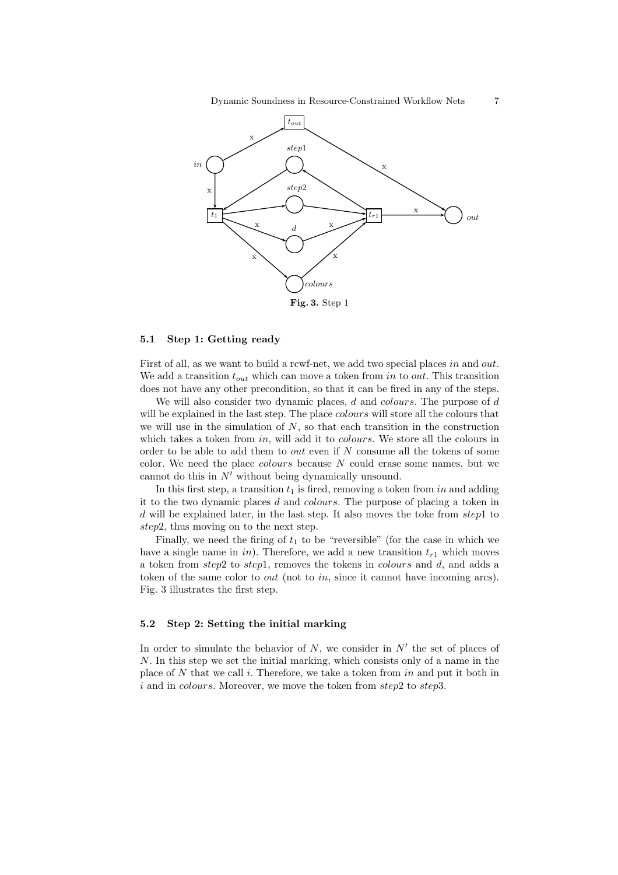

#### 5.1 Step 1: Getting ready

First of all, as we want to build a rcwf-net, we add two special places in and out. We add a transition  $t_{out}$  which can move a token from in to *out*. This transition does not have any other precondition, so that it can be fired in any of the steps.

We will also consider two dynamic places, d and colours. The purpose of d will be explained in the last step. The place *colours* will store all the colours that we will use in the simulation of  $N$ , so that each transition in the construction which takes a token from in, will add it to *colours*. We store all the colours in order to be able to add them to *out* even if  $N$  consume all the tokens of some color. We need the place colours because N could erase some names, but we cannot do this in  $N'$  without being dynamically unsound.

In this first step, a transition  $t_1$  is fired, removing a token from in and adding it to the two dynamic places d and colours. The purpose of placing a token in  $d$  will be explained later, in the last step. It also moves the toke from  $step1$  to step2, thus moving on to the next step.

Finally, we need the firing of  $t_1$  to be "reversible" (for the case in which we have a single name in in). Therefore, we add a new transition  $t_{r1}$  which moves a token from step2 to step1, removes the tokens in colours and d, and adds a token of the same color to out (not to in, since it cannot have incoming arcs). Fig. 3 illustrates the first step.

#### 5.2 Step 2: Setting the initial marking

In order to simulate the behavior of  $N$ , we consider in  $N'$  the set of places of N. In this step we set the initial marking, which consists only of a name in the place of N that we call i. Therefore, we take a token from in and put it both in i and in *colours*. Moreover, we move the token from  $step2$  to  $step3$ .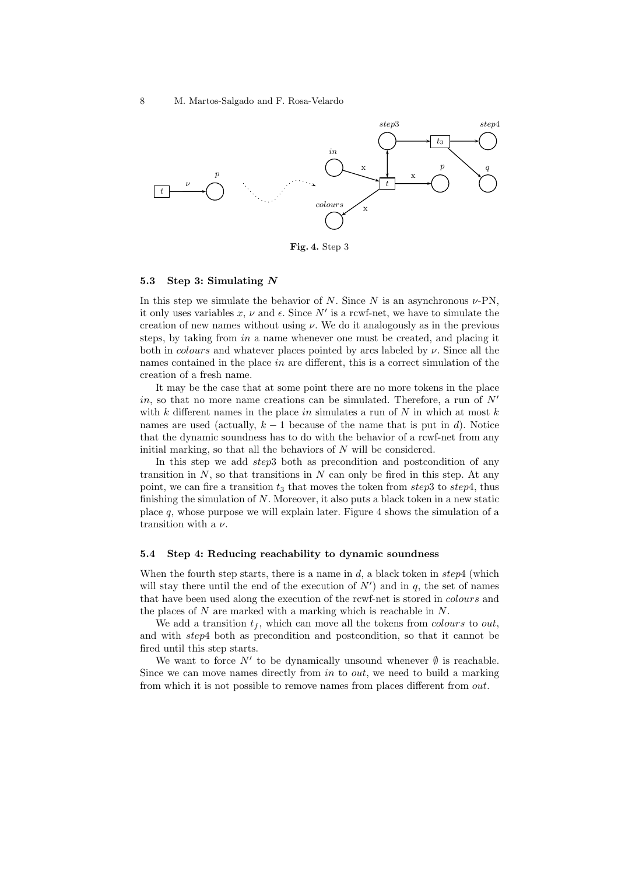

Fig. 4. Step 3

#### 5.3 Step 3: Simulating N

In this step we simulate the behavior of N. Since N is an asynchronous  $\nu$ -PN, it only uses variables x,  $\nu$  and  $\epsilon$ . Since N' is a rcwf-net, we have to simulate the creation of new names without using  $\nu$ . We do it analogously as in the previous steps, by taking from in a name whenever one must be created, and placing it both in *colours* and whatever places pointed by arcs labeled by  $\nu$ . Since all the names contained in the place in are different, this is a correct simulation of the creation of a fresh name.

It may be the case that at some point there are no more tokens in the place in, so that no more name creations can be simulated. Therefore, a run of  $N'$ with k different names in the place in simulates a run of N in which at most  $k$ names are used (actually,  $k - 1$  because of the name that is put in d). Notice that the dynamic soundness has to do with the behavior of a rcwf-net from any initial marking, so that all the behaviors of  $N$  will be considered.

In this step we add *step3* both as precondition and postcondition of any transition in  $N$ , so that transitions in  $N$  can only be fired in this step. At any point, we can fire a transition  $t_3$  that moves the token from step3 to step4, thus finishing the simulation of  $N$ . Moreover, it also puts a black token in a new static place  $q$ , whose purpose we will explain later. Figure 4 shows the simulation of a transition with a  $\nu$ .

#### 5.4 Step 4: Reducing reachability to dynamic soundness

When the fourth step starts, there is a name in  $d$ , a black token in  $step4$  (which will stay there until the end of the execution of  $N'$ ) and in  $q$ , the set of names that have been used along the execution of the rcwf-net is stored in colours and the places of  $N$  are marked with a marking which is reachable in  $N$ .

We add a transition  $t_f$ , which can move all the tokens from *colours* to *out*, and with step4 both as precondition and postcondition, so that it cannot be fired until this step starts.

We want to force  $N'$  to be dynamically unsound whenever  $\emptyset$  is reachable. Since we can move names directly from in to *out*, we need to build a marking from which it is not possible to remove names from places different from *out*.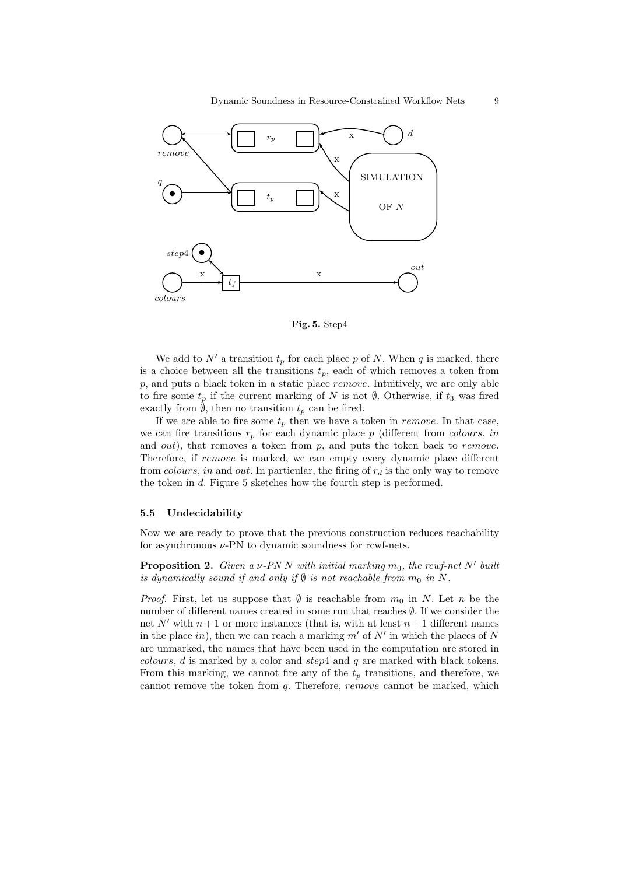

Fig. 5. Step4

We add to  $N'$  a transition  $t_p$  for each place p of N. When q is marked, there is a choice between all the transitions  $t_p$ , each of which removes a token from  $p$ , and puts a black token in a static place *remove*. Intuitively, we are only able to fire some  $t_p$  if the current marking of N is not  $\emptyset$ . Otherwise, if  $t_3$  was fired exactly from  $\emptyset$ , then no transition  $t_p$  can be fired.

If we are able to fire some  $t_p$  then we have a token in *remove*. In that case, we can fire transitions  $r_p$  for each dynamic place p (different from *colours*, in and *out*), that removes a token from  $p$ , and puts the token back to *remove*. Therefore, if remove is marked, we can empty every dynamic place different from *colours*, in and *out*. In particular, the firing of  $r_d$  is the only way to remove the token in d. Figure 5 sketches how the fourth step is performed.

#### 5.5 Undecidability

Now we are ready to prove that the previous construction reduces reachability for asynchronous  $\nu$ -PN to dynamic soundness for rcwf-nets.

**Proposition 2.** *Given a v-PN N with initial marking*  $m_0$ *, the rcwf-net*  $N'$  *built is dynamically sound if and only if*  $\emptyset$  *is not reachable from*  $m_0$  *in* N.

*Proof.* First, let us suppose that  $\emptyset$  is reachable from  $m_0$  in N. Let n be the number of different names created in some run that reaches ∅. If we consider the net N' with  $n+1$  or more instances (that is, with at least  $n+1$  different names in the place in), then we can reach a marking  $m'$  of  $N'$  in which the places of N are unmarked, the names that have been used in the computation are stored in  $colours, d$  is marked by a color and  $step4$  and q are marked with black tokens. From this marking, we cannot fire any of the  $t_p$  transitions, and therefore, we cannot remove the token from q. Therefore, remove cannot be marked, which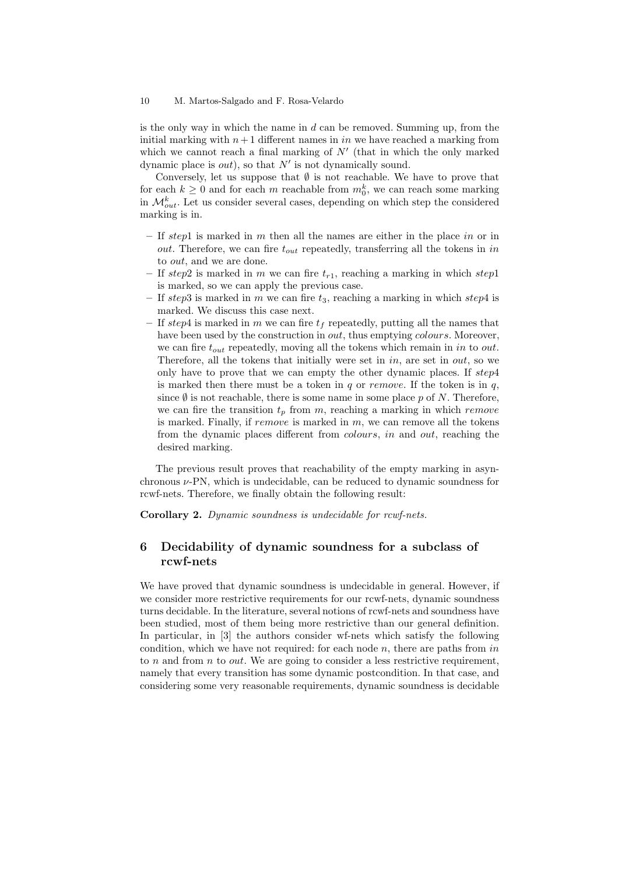is the only way in which the name in  $d$  can be removed. Summing up, from the initial marking with  $n+1$  different names in in we have reached a marking from which we cannot reach a final marking of  $N'$  (that in which the only marked dynamic place is  $out$ ), so that  $N'$  is not dynamically sound.

Conversely, let us suppose that  $\emptyset$  is not reachable. We have to prove that for each  $k \geq 0$  and for each m reachable from  $m_0^k$ , we can reach some marking in  $\mathcal{M}_{out}^k$ . Let us consider several cases, depending on which step the considered marking is in.

- If step1 is marked in m then all the names are either in the place in or in out. Therefore, we can fire  $t_{out}$  repeatedly, transferring all the tokens in in to out, and we are done.
- If step2 is marked in m we can fire  $t_{r1}$ , reaching a marking in which step1 is marked, so we can apply the previous case.
- If step3 is marked in  $m$  we can fire  $t_3$ , reaching a marking in which step4 is marked. We discuss this case next.
- If step4 is marked in m we can fire  $t_f$  repeatedly, putting all the names that have been used by the construction in *out*, thus emptying *colours*. Moreover, we can fire  $t_{out}$  repeatedly, moving all the tokens which remain in in to out. Therefore, all the tokens that initially were set in  $in$ , are set in *out*, so we only have to prove that we can empty the other dynamic places. If step4 is marked then there must be a token in  $q$  or *remove*. If the token is in  $q$ , since  $\emptyset$  is not reachable, there is some name in some place p of N. Therefore, we can fire the transition  $t_p$  from m, reaching a marking in which remove is marked. Finally, if *remove* is marked in  $m$ , we can remove all the tokens from the dynamic places different from colours, in and out, reaching the desired marking.

The previous result proves that reachability of the empty marking in asynchronous  $\nu$ -PN, which is undecidable, can be reduced to dynamic soundness for rcwf-nets. Therefore, we finally obtain the following result:

Corollary 2. *Dynamic soundness is undecidable for rcwf-nets.*

# 6 Decidability of dynamic soundness for a subclass of rcwf-nets

We have proved that dynamic soundness is undecidable in general. However, if we consider more restrictive requirements for our rcwf-nets, dynamic soundness turns decidable. In the literature, several notions of rcwf-nets and soundness have been studied, most of them being more restrictive than our general definition. In particular, in [3] the authors consider wf-nets which satisfy the following condition, which we have not required: for each node  $n$ , there are paths from in to n and from n to *out*. We are going to consider a less restrictive requirement, namely that every transition has some dynamic postcondition. In that case, and considering some very reasonable requirements, dynamic soundness is decidable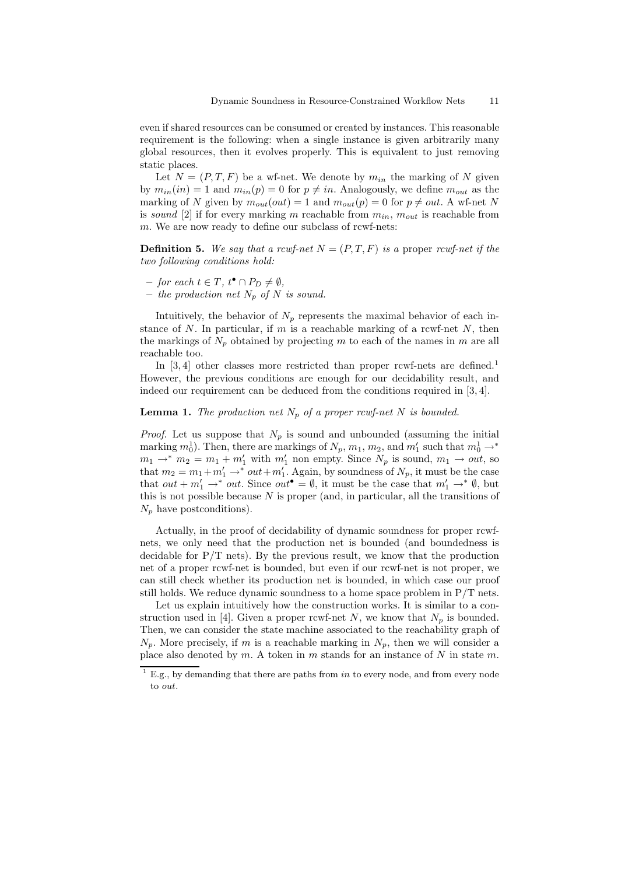even if shared resources can be consumed or created by instances. This reasonable requirement is the following: when a single instance is given arbitrarily many global resources, then it evolves properly. This is equivalent to just removing static places.

Let  $N = (P, T, F)$  be a wf-net. We denote by  $m_{in}$  the marking of N given by  $m_{in}(in) = 1$  and  $m_{in}(p) = 0$  for  $p \neq in$ . Analogously, we define  $m_{out}$  as the marking of N given by  $m_{out}(out) = 1$  and  $m_{out}(p) = 0$  for  $p \neq out$ . A wf-net N is *sound* [2] if for every marking m reachable from  $m_{in}$ ,  $m_{out}$  is reachable from m. We are now ready to define our subclass of rcwf-nets:

**Definition 5.** We say that a rcwf-net  $N = (P, T, F)$  is a proper rcwf-net if the *two following conditions hold:*

- $-$  *for each*  $t \in T$ *,*  $t^{\bullet} \cap P_D \neq \emptyset$ *,*
- *the production net*  $N_p$  *of* N *is sound.*

Intuitively, the behavior of  $N_p$  represents the maximal behavior of each instance of N. In particular, if m is a reachable marking of a rcwf-net N, then the markings of  $N_p$  obtained by projecting m to each of the names in m are all reachable too.

In  $[3, 4]$  other classes more restricted than proper rcwf-nets are defined.<sup>1</sup> However, the previous conditions are enough for our decidability result, and indeed our requirement can be deduced from the conditions required in [3, 4].

**Lemma 1.** *The production net*  $N_p$  *of a proper rcwf-net* N *is bounded.* 

*Proof.* Let us suppose that  $N_p$  is sound and unbounded (assuming the initial marking  $m_0^1$ ). Then, there are markings of  $N_p$ ,  $m_1$ ,  $m_2$ , and  $m_1'$  such that  $m_0^1 \rightarrow^*$  $m_1 \rightarrow^* m_2 = m_1 + m'_1$  with  $m'_1$  non empty. Since  $N_p$  is sound,  $m_1 \rightarrow out$ , so that  $m_2 = m_1 + m'_1 \rightarrow * out + m'_1$ . Again, by soundness of  $N_p$ , it must be the case that  $out + m'_1 \rightarrow * out$ . Since  $out^{\bullet} = \emptyset$ , it must be the case that  $m'_1 \rightarrow * \emptyset$ , but this is not possible because  $N$  is proper (and, in particular, all the transitions of  $N_p$  have postconditions).

Actually, in the proof of decidability of dynamic soundness for proper rcwfnets, we only need that the production net is bounded (and boundedness is decidable for  $P/T$  nets). By the previous result, we know that the production net of a proper rcwf-net is bounded, but even if our rcwf-net is not proper, we can still check whether its production net is bounded, in which case our proof still holds. We reduce dynamic soundness to a home space problem in  $P/T$  nets.

Let us explain intuitively how the construction works. It is similar to a construction used in [4]. Given a proper rcwf-net N, we know that  $N_p$  is bounded. Then, we can consider the state machine associated to the reachability graph of  $N_p$ . More precisely, if m is a reachable marking in  $N_p$ , then we will consider a place also denoted by  $m$ . A token in  $m$  stands for an instance of  $N$  in state  $m$ .

 $1$  E.g., by demanding that there are paths from in to every node, and from every node to out.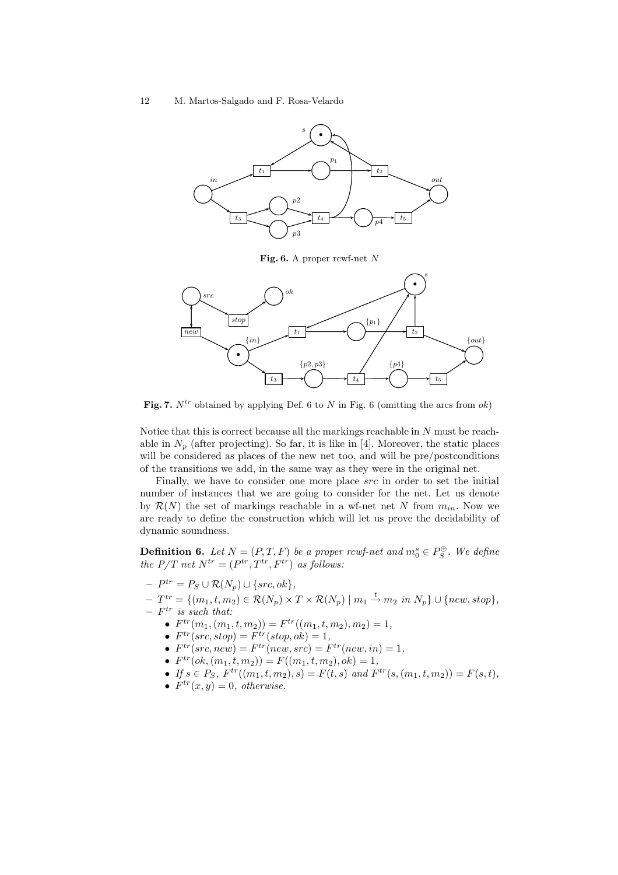

Fig. 6. A proper rcwf-net  $N$ 



Fig. 7.  $N^{tr}$  obtained by applying Def. 6 to N in Fig. 6 (omitting the arcs from  $ok$ )

Notice that this is correct because all the markings reachable in N must be reachable in  $N_p$  (after projecting). So far, it is like in [4]. Moreover, the static places will be considered as places of the new net too, and will be pre/postconditions of the transitions we add, in the same way as they were in the original net.

Finally, we have to consider one more place src in order to set the initial number of instances that we are going to consider for the net. Let us denote by  $\mathcal{R}(N)$  the set of markings reachable in a wf-net net N from  $m_{in}$ . Now we are ready to define the construction which will let us prove the decidability of dynamic soundness.

**Definition 6.** Let  $N = (P, T, F)$  be a proper rcwf-net and  $m_0^s \in P_S^{\oplus}$ . We define *the P/T net*  $N^{tr} = (P^{tr}, T^{tr}, F^{tr})$  *as follows:* 

- $-P^{tr} = P_S \cup \mathcal{R}(N_p) \cup \{src, ok\},\$
- $T^{-}T^{tr} = \{ (m_1, t, m_2) \in \mathcal{R}(N_p) \times T \times \mathcal{R}(N_p) \mid m_1 \stackrel{t}{\rightarrow} m_2 \text{ in } N_p \} \cup \{new, stop\},\$
- F tr *is such that:*
	- $F^{tr}(m_1, (m_1, t, m_2)) = F^{tr}((m_1, t, m_2), m_2) = 1,$
	- $F^{tr}(src, stop) = F^{tr}(stop, ok) = 1,$
	- $F^{tr}(src, new) = F^{tr}(new, src) = F^{tr}(new, in) = 1,$
	- $F^{tr}(ok, (m_1, t, m_2)) = F((m_1, t, m_2), ok) = 1,$
	- If  $s \in P_S$ ,  $F^{tr}((m_1, t, m_2), s) = F(t, s)$  and  $F^{tr}(s, (m_1, t, m_2)) = F(s, t)$ ,
	- $F^{tr}(x, y) = 0$ , otherwise.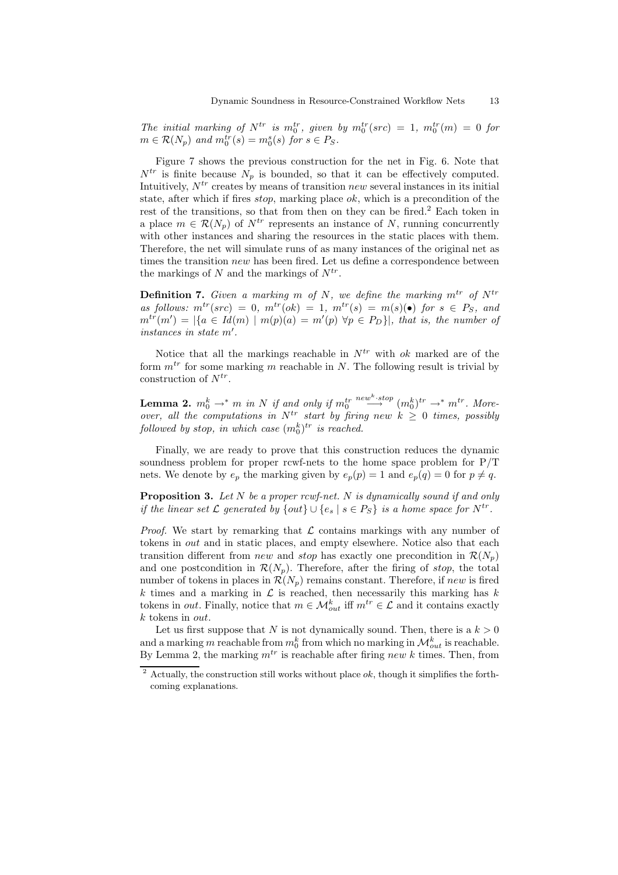The initial marking of  $N^{tr}$  is  $m_0^{tr}$ , given by  $m_0^{tr}(src) = 1$ ,  $m_0^{tr}(m) = 0$  for  $m \in \mathcal{R}(N_p)$  and  $m_0^{tr}(s) = m_0^s(s)$  for  $s \in P_S$ .

Figure 7 shows the previous construction for the net in Fig. 6. Note that  $N^{tr}$  is finite because  $N_p$  is bounded, so that it can be effectively computed. Intuitively,  $N^{tr}$  creates by means of transition new several instances in its initial state, after which if fires  $stop$ , marking place  $ok$ , which is a precondition of the rest of the transitions, so that from then on they can be fired.<sup>2</sup> Each token in a place  $m \in \mathcal{R}(N_n)$  of  $N^{tr}$  represents an instance of N, running concurrently with other instances and sharing the resources in the static places with them. Therefore, the net will simulate runs of as many instances of the original net as times the transition *new* has been fired. Let us define a correspondence between the markings of  $N$  and the markings of  $N^{tr}$ .

**Definition 7.** Given a marking m of N, we define the marking  $m^{tr}$  of  $N^{tr}$ *as follows:*  $m^{tr}(src) = 0$ ,  $m^{tr}(ok) = 1$ ,  $m^{tr}(s) = m(s)(\bullet)$  *for*  $s \in P_S$ , and  $m^{tr}(m') = |\{a \in Id(m) \mid m(p)(a) = m'(p) \,\forall p \in P_D\}|$ , that is, the number of *instances in state* m′ *.*

Notice that all the markings reachable in  $N^{tr}$  with ok marked are of the form  $m<sup>tr</sup>$  for some marking m reachable in N. The following result is trivial by construction of  $N^{tr}$ .

**Lemma 2.**  $m_0^k \rightarrow^* m$  in N if and only if  $m_0^{tr} \stackrel{new^k \cdot stop}{\longrightarrow} (m_0^k)^{tr} \rightarrow^* m^{tr}$ . More*over, all the computations in*  $N^{tr}$  *start by firing new*  $k \geq 0$  *times, possibly followed by stop, in which case*  $(m_0^k)^{tr}$  *is reached.* 

Finally, we are ready to prove that this construction reduces the dynamic soundness problem for proper rcwf-nets to the home space problem for P/T nets. We denote by  $e_p$  the marking given by  $e_p(p) = 1$  and  $e_p(q) = 0$  for  $p \neq q$ .

Proposition 3. *Let* N *be a proper rcwf-net.* N *is dynamically sound if and only if the linear set*  $\mathcal L$  *generated by*  $\{out\} \cup \{e_s \mid s \in P_S\}$  *is a home space for*  $N^{tr}$ *.* 

*Proof.* We start by remarking that  $\mathcal{L}$  contains markings with any number of tokens in out and in static places, and empty elsewhere. Notice also that each transition different from *new* and *stop* has exactly one precondition in  $\mathcal{R}(N_p)$ and one postcondition in  $\mathcal{R}(N_p)$ . Therefore, after the firing of stop, the total number of tokens in places in  $\mathcal{R}(N_p)$  remains constant. Therefore, if new is fired k times and a marking in  $\mathcal L$  is reached, then necessarily this marking has k tokens in *out*. Finally, notice that  $m \in M_{out}^k$  iff  $m^{tr} \in \mathcal{L}$  and it contains exactly k tokens in out.

Let us first suppose that N is not dynamically sound. Then, there is a  $k > 0$ and a marking m reachable from  $m_0^k$  from which no marking in  $\mathcal{M}^k_{out}$  is reachable. By Lemma 2, the marking  $m^{tr}$  is reachable after firing new k times. Then, from

 $2$  Actually, the construction still works without place  $ok$ , though it simplifies the forthcoming explanations.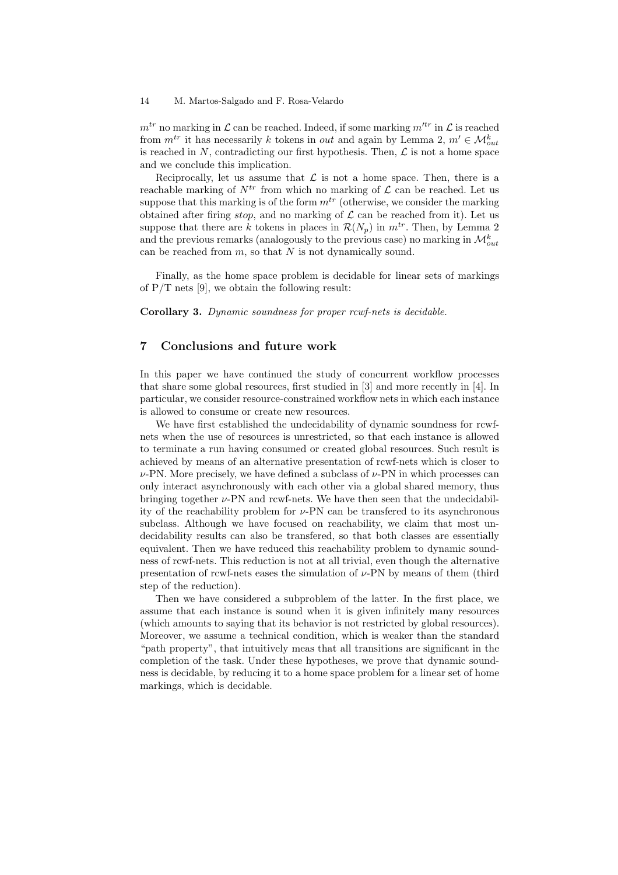$m<sup>tr</sup>$  no marking in  $\mathcal L$  can be reached. Indeed, if some marking  $m<sup>tr</sup>$  in  $\mathcal L$  is reached from  $m^{tr}$  it has necessarily k tokens in *out* and again by Lemma 2,  $m' \in M_{out}^k$ is reached in N, contradicting our first hypothesis. Then,  $\mathcal L$  is not a home space and we conclude this implication.

Reciprocally, let us assume that  $\mathcal L$  is not a home space. Then, there is a reachable marking of  $N^{tr}$  from which no marking of  $\mathcal L$  can be reached. Let us suppose that this marking is of the form  $m<sup>tr</sup>$  (otherwise, we consider the marking obtained after firing stop, and no marking of  $\mathcal L$  can be reached from it). Let us suppose that there are k tokens in places in  $\mathcal{R}(N_p)$  in  $m^{tr}$ . Then, by Lemma 2 and the previous remarks (analogously to the previous case) no marking in  $\mathcal{M}^k_{out}$ can be reached from  $m$ , so that  $N$  is not dynamically sound.

Finally, as the home space problem is decidable for linear sets of markings of  $P/T$  nets [9], we obtain the following result:

Corollary 3. *Dynamic soundness for proper rcwf-nets is decidable.*

# 7 Conclusions and future work

In this paper we have continued the study of concurrent workflow processes that share some global resources, first studied in [3] and more recently in [4]. In particular, we consider resource-constrained workflow nets in which each instance is allowed to consume or create new resources.

We have first established the undecidability of dynamic soundness for rcwfnets when the use of resources is unrestricted, so that each instance is allowed to terminate a run having consumed or created global resources. Such result is achieved by means of an alternative presentation of rcwf-nets which is closer to  $\nu$ -PN. More precisely, we have defined a subclass of  $\nu$ -PN in which processes can only interact asynchronously with each other via a global shared memory, thus bringing together  $\nu$ -PN and rcwf-nets. We have then seen that the undecidability of the reachability problem for  $\nu$ -PN can be transferred to its asynchronous subclass. Although we have focused on reachability, we claim that most undecidability results can also be transfered, so that both classes are essentially equivalent. Then we have reduced this reachability problem to dynamic soundness of rcwf-nets. This reduction is not at all trivial, even though the alternative presentation of rcwf-nets eases the simulation of  $\nu$ -PN by means of them (third step of the reduction).

Then we have considered a subproblem of the latter. In the first place, we assume that each instance is sound when it is given infinitely many resources (which amounts to saying that its behavior is not restricted by global resources). Moreover, we assume a technical condition, which is weaker than the standard "path property", that intuitively meas that all transitions are significant in the completion of the task. Under these hypotheses, we prove that dynamic soundness is decidable, by reducing it to a home space problem for a linear set of home markings, which is decidable.